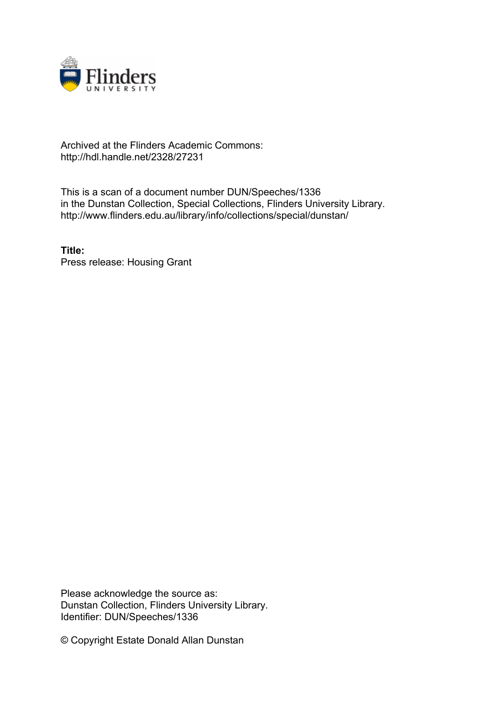

## Archived at the Flinders Academic Commons: http://hdl.handle.net/2328/27231

This is a scan of a document number DUN/Speeches/1336 in the Dunstan Collection, Special Collections, Flinders University Library. http://www.flinders.edu.au/library/info/collections/special/dunstan/

**Title:** Press release: Housing Grant

Please acknowledge the source as: Dunstan Collection, Flinders University Library. Identifier: DUN/Speeches/1336

© Copyright Estate Donald Allan Dunstan